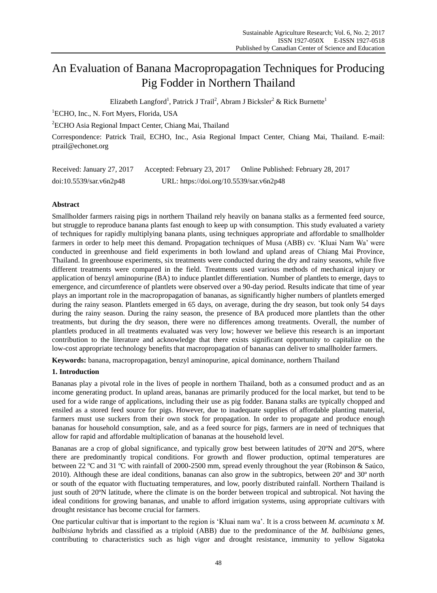# An Evaluation of Banana Macropropagation Techniques for Producing Pig Fodder in Northern Thailand

Elizabeth Langford<sup>1</sup>, Patrick J Trail<sup>2</sup>, Abram J Bicksler<sup>2</sup> & Rick Burnette<sup>1</sup>

<sup>1</sup>ECHO, Inc., N. Fort Myers, Florida, USA

<sup>2</sup>ECHO Asia Regional Impact Center, Chiang Mai, Thailand

Correspondence: Patrick Trail, ECHO, Inc., Asia Regional Impact Center, Chiang Mai, Thailand. E-mail: ptrail@echonet.org

| Received: January 27, 2017 | Accepted: February 23, 2017              | Online Published: February 28, 2017 |
|----------------------------|------------------------------------------|-------------------------------------|
| doi:10.5539/sar.v6n2p48    | URL: https://doi.org/10.5539/sar.v6n2p48 |                                     |

# **Abstract**

Smallholder farmers raising pigs in northern Thailand rely heavily on banana stalks as a fermented feed source, but struggle to reproduce banana plants fast enough to keep up with consumption. This study evaluated a variety of techniques for rapidly multiplying banana plants, using techniques appropriate and affordable to smallholder farmers in order to help meet this demand. Propagation techniques of Musa (ABB) cv. "Kluai Nam Wa" were conducted in greenhouse and field experiments in both lowland and upland areas of Chiang Mai Province, Thailand. In greenhouse experiments, six treatments were conducted during the dry and rainy seasons, while five different treatments were compared in the field. Treatments used various methods of mechanical injury or application of benzyl aminopurine (BA) to induce plantlet differentiation. Number of plantlets to emerge, days to emergence, and circumference of plantlets were observed over a 90-day period. Results indicate that time of year plays an important role in the macropropagation of bananas, as significantly higher numbers of plantlets emerged during the rainy season. Plantlets emerged in 65 days, on average, during the dry season, but took only 54 days during the rainy season. During the rainy season, the presence of BA produced more plantlets than the other treatments, but during the dry season, there were no differences among treatments. Overall, the number of plantlets produced in all treatments evaluated was very low; however we believe this research is an important contribution to the literature and acknowledge that there exists significant opportunity to capitalize on the low-cost appropriate technology benefits that macropropagation of bananas can deliver to smallholder farmers.

**Keywords:** banana, macropropagation, benzyl aminopurine, apical dominance, northern Thailand

# **1. Introduction**

Bananas play a pivotal role in the lives of people in northern Thailand, both as a consumed product and as an income generating product. In upland areas, bananas are primarily produced for the local market, but tend to be used for a wide range of applications, including their use as pig fodder. Banana stalks are typically chopped and ensiled as a stored feed source for pigs. However, due to inadequate supplies of affordable planting material, farmers must use suckers from their own stock for propagation. In order to propagate and produce enough bananas for household consumption, sale, and as a feed source for pigs, farmers are in need of techniques that allow for rapid and affordable multiplication of bananas at the household level.

Bananas are a crop of global significance, and typically grow best between latitudes of  $20 \text{ N}$  and  $20 \text{ S}$ , where there are predominantly tropical conditions. For growth and flower production, optimal temperatures are between 22 °C and 31 °C with rainfall of 2000-2500 mm, spread evenly throughout the year (Robinson & Saúco, [2010\)](#page-9-0). Although these are ideal conditions, bananas can also grow in the subtropics, between 20º and 30º north or south of the equator with fluctuating temperatures, and low, poorly distributed rainfall. Northern Thailand is just south of 20  $\text{N}$  latitude, where the climate is on the border between tropical and subtropical. Not having the ideal conditions for growing bananas, and unable to afford irrigation systems, using appropriate cultivars with drought resistance has become crucial for farmers.

One particular cultivar that is important to the region is "Kluai nam wa". It is a cross between *M. acuminata* x *M. balbisiana* hybrids and classified as a triploid (ABB) due to the predominance of the *M. balbisiana* genes, contributing to characteristics such as high vigor and drought resistance, immunity to yellow Sigatoka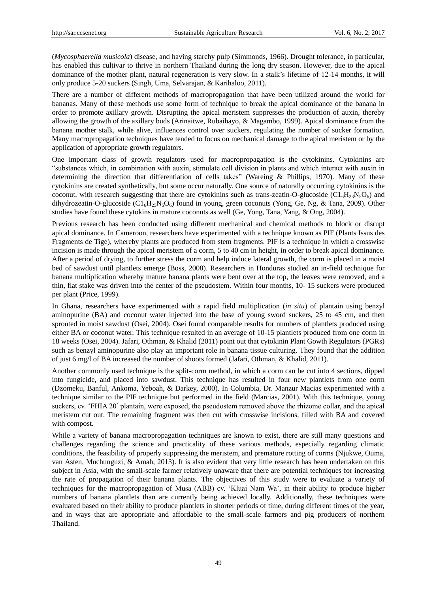(*Mycosphaerella musicola*) disease, and having starchy pulp [\(Simmonds, 1966\)](#page-9-1). Drought tolerance, in particular, has enabled this cultivar to thrive in northern Thailand during the long dry season. However, due to the apical dominance of the mother plant, natural regeneration is very slow. In a stalk"s lifetime of 12-14 months, it will only produce 5-20 suckers [\(Singh, Uma, Selvarajan, & Karihaloo, 2011\)](#page-9-2).

There are a number of different methods of macropropagation that have been utilized around the world for bananas. Many of these methods use some form of technique to break the apical dominance of the banana in order to promote axillary growth. Disrupting the apical meristem suppresses the production of auxin, thereby allowing the growth of the axillary buds [\(Arinaitwe, Rubaihayo, & Magambo, 1999\)](#page-8-0). Apical dominance from the banana mother stalk, while alive, influences control over suckers, regulating the number of sucker formation. Many macropropagation techniques have tended to focus on mechanical damage to the apical meristem or by the application of appropriate growth regulators.

One important class of growth regulators used for macropropagation is the cytokinins. Cytokinins are "substances which, in combination with auxin, stimulate cell division in plants and which interact with auxin in determining the direction that differentiation of cells takes" [\(Wareing & Phillips, 1970\)](#page-9-3). Many of these cytokinins are created synthetically, but some occur naturally. One source of naturally occurring cytokinins is the coconut, with research suggesting that there are cytokinins such as trans-zeatin-O-glucoside ( $CI<sub>6</sub>H<sub>23</sub>N<sub>5</sub>O<sub>6</sub>$ ) and dihydrozeatin-O-glucoside (C1<sub>6</sub>H<sub>25</sub>N<sub>5</sub>O<sub>6</sub>) found in young, green coconuts [\(Yong, Ge, Ng, & Tana, 2009\)](#page-9-4). Other studies have found these cytokins in mature coconuts as well [\(Ge, Yong, Tana, Yang, & Ong, 2004\)](#page-8-1).

Previous research has been conducted using different mechanical and chemical methods to block or disrupt apical dominance. In Cameroon, researchers have experimented with a technique known as PIF (Plants Issus des Fragments de Tige), whereby plants are produced from stem fragments. PIF is a technique in which a crosswise incision is made through the apical meristem of a corm, 5 to 40 cm in height, in order to break apical dominance. After a period of drying, to further stress the corm and help induce lateral growth, the corm is placed in a moist bed of sawdust until plantlets emerge [\(Boss, 2008\)](#page-8-2). Researchers in Honduras studied an in-field technique for banana multiplication whereby mature banana plants were bent over at the top, the leaves were removed, and a thin, flat stake was driven into the center of the pseudostem. Within four months, 10- 15 suckers were produced per plant [\(Price, 1999\)](#page-9-5).

In Ghana, researchers have experimented with a rapid field multiplication (*in situ*) of plantain using benzyl aminopurine (BA) and coconut water injected into the base of young sword suckers, 25 to 45 cm, and then sprouted in moist sawdust [\(Osei, 2004\)](#page-9-6). Osei found comparable results for numbers of plantlets produced using either BA or coconut water. This technique resulted in an average of 10-15 plantlets produced from one corm in 18 weeks [\(Osei, 2004\)](#page-9-6). Jafari, Othman, & Khalid (2011) point out that cytokinin Plant Gowth Regulators (PGRs) such as benzyl aminopurine also play an important role in banana tissue culturing. They found that the addition of just 6 mg/l of BA increased the number of shoots formed [\(Jafari, Othman, & Khalid, 2011\)](#page-9-7).

Another commonly used technique is the split-corm method, in which a corm can be cut into 4 sections, dipped into fungicide, and placed into sawdust. This technique has resulted in four new plantlets from one corm [\(Dzomeku, Banful, Ankoma, Yeboah, & Darkey, 2000\)](#page-8-3). In Columbia, Dr. Manzur Macias experimented with a technique similar to the PIF technique but performed in the field [\(Marcias, 2001\)](#page-9-8). With this technique, young suckers, cv. "FHIA 20" plantain, were exposed, the pseudostem removed above the rhizome collar, and the apical meristem cut out. The remaining fragment was then cut with crosswise incisions, filled with BA and covered with compost.

While a variety of banana macropropagation techniques are known to exist, there are still many questions and challenges regarding the science and practicality of these various methods, especially regarding climatic conditions, the feasibility of properly suppressing the meristem, and premature rotting of corms [\(Njukwe, Ouma,](#page-9-9)  [van Asten, Muchunguzi, & Amah, 2013\)](#page-9-9). It is also evident that very little research has been undertaken on this subject in Asia, with the small-scale farmer relatively unaware that there are potential techniques for increasing the rate of propagation of their banana plants. The objectives of this study were to evaluate a variety of techniques for the macropropagation of Musa (ABB) cv. "Kluai Nam Wa", in their ability to produce higher numbers of banana plantlets than are currently being achieved locally. Additionally, these techniques were evaluated based on their ability to produce plantlets in shorter periods of time, during different times of the year, and in ways that are appropriate and affordable to the small-scale farmers and pig producers of northern Thailand.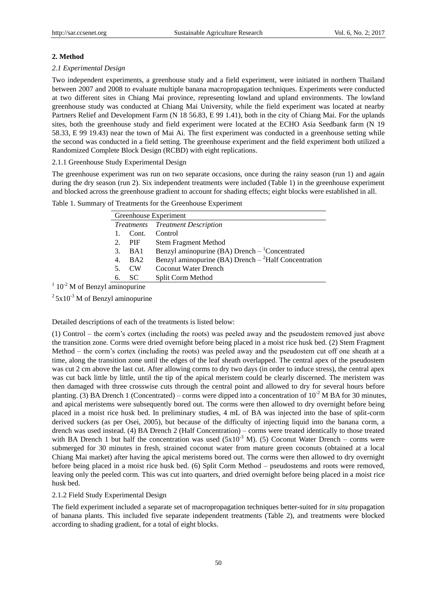# **2. Method**

# *2.1 Experimental Design*

Two independent experiments, a greenhouse study and a field experiment, were initiated in northern Thailand between 2007 and 2008 to evaluate multiple banana macropropagation techniques. Experiments were conducted at two different sites in Chiang Mai province, representing lowland and upland environments. The lowland greenhouse study was conducted at Chiang Mai University, while the field experiment was located at nearby Partners Relief and Development Farm (N 18 56.83, E 99 1.41), both in the city of Chiang Mai. For the uplands sites, both the greenhouse study and field experiment were located at the ECHO Asia Seedbank farm (N 19 58.33, E 99 19.43) near the town of Mai Ai. The first experiment was conducted in a greenhouse setting while the second was conducted in a field setting. The greenhouse experiment and the field experiment both utilized a Randomized Complete Block Design (RCBD) with eight replications.

2.1.1 Greenhouse Study Experimental Design

The greenhouse experiment was run on two separate occasions, once during the rainy season (run 1) and again during the dry season (run 2). Six independent treatments were included (Table 1) in the greenhouse experiment and blocked across the greenhouse gradient to account for shading effects; eight blocks were established in all.

|    | Greenhouse Experiment |                                                              |  |  |  |  |
|----|-----------------------|--------------------------------------------------------------|--|--|--|--|
|    |                       | <b>Treatments</b> Treatment Description                      |  |  |  |  |
|    | Cont.                 | Control                                                      |  |  |  |  |
| 2. | <b>PIF</b>            | <b>Stem Fragment Method</b>                                  |  |  |  |  |
| 3. | BA1                   | Benzyl aminopurine (BA) Drench $-$ <sup>1</sup> Concentrated |  |  |  |  |
| 4. | B <sub>A2</sub>       | Benzyl aminopurine (BA) Drench $-{}^{2}$ Half Concentration  |  |  |  |  |
| 5. | $\mathbf{CW}$         | Coconut Water Drench                                         |  |  |  |  |
| 6. | SC.                   | Split Corm Method                                            |  |  |  |  |
|    |                       |                                                              |  |  |  |  |

Table 1. Summary of Treatments for the Greenhouse Experiment

 $1\,10^{-2}$  M of Benzyl aminopurine

 $25x10^{-3}$  M of Benzyl aminopurine

Detailed descriptions of each of the treatments is listed below:

(1) Control – the corm"s cortex (including the roots) was peeled away and the pseudostem removed just above the transition zone. Corms were dried overnight before being placed in a moist rice husk bed. (2) Stem Fragment Method – the corm"s cortex (including the roots) was peeled away and the pseudostem cut off one sheath at a time, along the transition zone until the edges of the leaf sheath overlapped. The central apex of the pseudostem was cut 2 cm above the last cut. After allowing corms to dry two days (in order to induce stress), the central apex was cut back little by little, until the tip of the apical meristem could be clearly discerned. The meristem was then damaged with three crosswise cuts through the central point and allowed to dry for several hours before planting. (3) BA Drench 1 (Concentrated) – corms were dipped into a concentration of  $10^{-2}$  M BA for 30 minutes, and apical meristems were subsequently bored out. The corms were then allowed to dry overnight before being placed in a moist rice husk bed. In preliminary studies, 4 mL of BA was injected into the base of split-corm derived suckers (as per Osei, 2005), but because of the difficulty of injecting liquid into the banana corm, a drench was used instead. (4) BA Drench 2 (Half Concentration) – corms were treated identically to those treated with BA Drench 1 but half the concentration was used  $(5x10^{-3}$  M). (5) Coconut Water Drench – corms were submerged for 30 minutes in fresh, strained coconut water from mature green coconuts (obtained at a local Chiang Mai market) after having the apical meristems bored out. The corms were then allowed to dry overnight before being placed in a moist rice husk bed. (6) Split Corm Method – pseudostems and roots were removed, leaving only the peeled corm. This was cut into quarters, and dried overnight before being placed in a moist rice husk bed.

# 2.1.2 Field Study Experimental Design

The field experiment included a separate set of macropropagation techniques better-suited for *in situ* propagation of banana plants. This included five separate independent treatments (Table 2), and treatments were blocked according to shading gradient, for a total of eight blocks.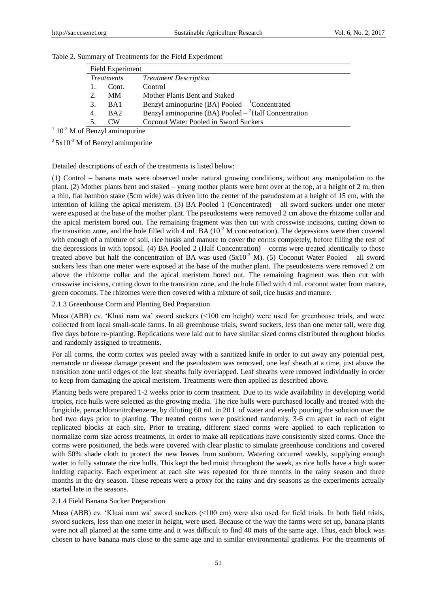|    | Field Experiment  |                                                              |  |  |  |  |
|----|-------------------|--------------------------------------------------------------|--|--|--|--|
|    | <i>Treatments</i> | <b>Treatment Description</b>                                 |  |  |  |  |
|    | Cont.             | Control                                                      |  |  |  |  |
| 2. | MМ                | Mother Plants Bent and Staked                                |  |  |  |  |
| 3. | BA1               | Benzyl aminopurine (BA) Pooled $-$ <sup>1</sup> Concentrated |  |  |  |  |
| 4. | B <sub>A</sub> 2  | Benzyl aminopurine (BA) Pooled $-{}^{2}$ Half Concentration  |  |  |  |  |
|    | CW.               | Coconut Water Pooled in Sword Suckers                        |  |  |  |  |

|  |  |  |  |  | Table 2. Summary of Treatments for the Field Experiment |
|--|--|--|--|--|---------------------------------------------------------|
|--|--|--|--|--|---------------------------------------------------------|

 $1 \times 10^{-2}$  M of Benzyl aminopurine

 $25x10^{-3}$  M of Benzyl aminopurine

Detailed descriptions of each of the treatments is listed below:

(1) Control – banana mats were observed under natural growing conditions, without any manipulation to the plant. (2) Mother plants bent and staked – young mother plants were bent over at the top, at a height of 2 m, then a thin, flat bamboo stake (5cm wide) was driven into the center of the pseudostem at a height of 15 cm, with the intention of killing the apical meristem. (3) BA Pooled 1 (Concentrated) – all sword suckers under one meter were exposed at the base of the mother plant. The pseudostems were removed 2 cm above the rhizome collar and the apical meristem bored out. The remaining fragment was then cut with crosswise incisions, cutting down to the transition zone, and the hole filled with 4 mL BA  $(10^{-2}$  M concentration). The depressions were then covered with enough of a mixture of soil, rice husks and manure to cover the corms completely, before filling the rest of the depressions in with topsoil. (4) BA Pooled 2 (Half Concentration) – corms were treated identically to those treated above but half the concentration of BA was used  $(5x10^{-3}$  M). (5) Coconut Water Pooled – all sword suckers less than one meter were exposed at the base of the mother plant. The pseudostems were removed 2 cm above the rhizome collar and the apical meristem bored out. The remaining fragment was then cut with crosswise incisions, cutting down to the transition zone, and the hole filled with 4 mL coconut water from mature, green coconuts. The rhizomes were then covered with a mixture of soil, rice husks and manure.

# 2.1.3 Greenhouse Corm and Planting Bed Preparation

Musa (ABB) cv. "Kluai nam wa" sword suckers (<100 cm height) were used for greenhouse trials, and were collected from local small-scale farms. In all greenhouse trials, sword suckers, less than one meter tall, were dug five days before re-planting. Replications were laid out to have similar sized corms distributed throughout blocks and randomly assigned to treatments.

For all corms, the corm cortex was peeled away with a sanitized knife in order to cut away any potential pest, nematode or disease damage present and the pseudostem was removed, one leaf sheath at a time, just above the transition zone until edges of the leaf sheaths fully overlapped. Leaf sheaths were removed individually in order to keep from damaging the apical meristem. Treatments were then applied as described above.

Planting beds were prepared 1-2 weeks prior to corm treatment. Due to its wide availability in developing world tropics, rice hulls were selected as the growing media. The rice hulls were purchased locally and treated with the fungicide, pentachloronitrobenzene, by diluting 60 mL in 20 L of water and evenly pouring the solution over the bed two days prior to planting. The treated corms were positioned randomly, 3-6 cm apart in each of eight replicated blocks at each site. Prior to treating, different sized corms were applied to each replication to normalize corm size across treatments, in order to make all replications have consistently sized corms. Once the corms were positioned, the beds were covered with clear plastic to simulate greenhouse conditions and covered with 50% shade cloth to protect the new leaves from sunburn. Watering occurred weekly, supplying enough water to fully saturate the rice hulls. This kept the bed moist throughout the week, as rice hulls have a high water holding capacity. Each experiment at each site was repeated for three months in the rainy season and three months in the dry season. These repeats were a proxy for the rainy and dry seasons as the experiments actually started late in the seasons.

# 2.1.4 Field Banana Sucker Preparation

Musa (ABB) cv. "Kluai nam wa" sword suckers (<100 cm) were also used for field trials. In both field trials, sword suckers, less than one meter in height, were used. Because of the way the farms were set up, banana plants were not all planted at the same time and it was difficult to find 40 mats of the same age. Thus, each block was chosen to have banana mats close to the same age and in similar environmental gradients. For the treatments of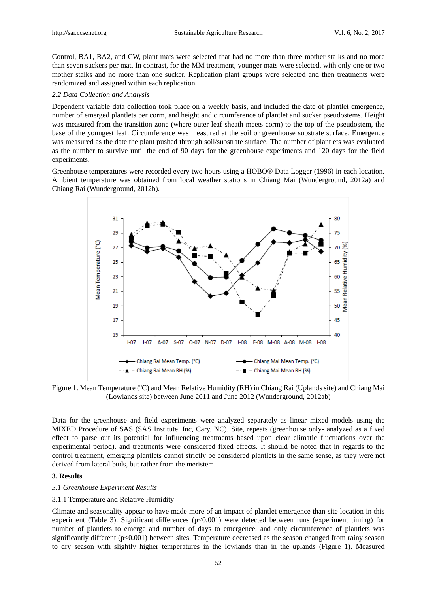Control, BA1, BA2, and CW, plant mats were selected that had no more than three mother stalks and no more than seven suckers per mat. In contrast, for the MM treatment, younger mats were selected, with only one or two mother stalks and no more than one sucker. Replication plant groups were selected and then treatments were randomized and assigned within each replication.

#### *2.2 Data Collection and Analysis*

Dependent variable data collection took place on a weekly basis, and included the date of plantlet emergence, number of emerged plantlets per corm, and height and circumference of plantlet and sucker pseudostems. Height was measured from the transition zone (where outer leaf sheath meets corm) to the top of the pseudostem, the base of the youngest leaf. Circumference was measured at the soil or greenhouse substrate surface. Emergence was measured as the date the plant pushed through soil/substrate surface. The number of plantlets was evaluated as the number to survive until the end of 90 days for the greenhouse experiments and 120 days for the field experiments.

Greenhouse temperatures were recorded every two hours using a HOBO® Data Logger (1996) in each location. Ambient temperature was obtained from local weather stations in Chiang Mai [\(Wunderground, 2012a\)](#page-9-10) and Chiang Rai [\(Wunderground, 2012b\)](#page-9-11).



Figure 1. Mean Temperature (°C) and Mean Relative Humidity (RH) in Chiang Rai (Uplands site) and Chiang Mai (Lowlands site) between June 2011 and June 2012 (Wunderground, 2012ab)

Data for the greenhouse and field experiments were analyzed separately as linear mixed models using the MIXED Procedure of SAS (SAS Institute, Inc, Cary, NC). Site, repeats (greenhouse only- analyzed as a fixed effect to parse out its potential for influencing treatments based upon clear climatic fluctuations over the experimental period), and treatments were considered fixed effects. It should be noted that in regards to the control treatment, emerging plantlets cannot strictly be considered plantlets in the same sense, as they were not derived from lateral buds, but rather from the meristem.

# **3. Results**

#### *3.1 Greenhouse Experiment Results*

#### 3.1.1 Temperature and Relative Humidity

Climate and seasonality appear to have made more of an impact of plantlet emergence than site location in this experiment (Table 3). Significant differences (p<0.001) were detected between runs (experiment timing) for number of plantlets to emerge and number of days to emergence, and only circumference of plantlets was significantly different (p<0.001) between sites. Temperature decreased as the season changed from rainy season to dry season with slightly higher temperatures in the lowlands than in the uplands (Figure 1). Measured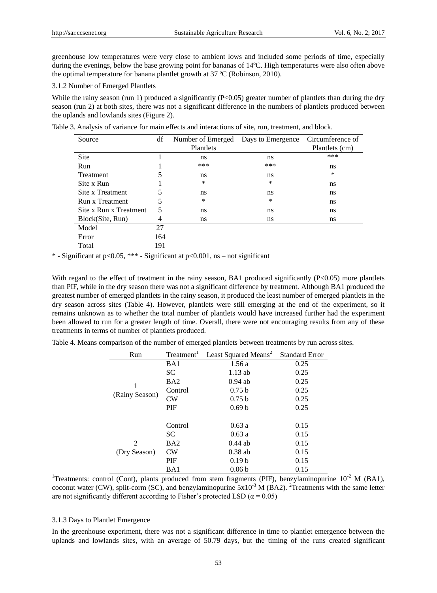greenhouse low temperatures were very close to ambient lows and included some periods of time, especially during the evenings, below the base growing point for bananas of 14ºC. High temperatures were also often above the optimal temperature for banana plantlet growth at 37  $\mathbb{C}$  (Robinson, 2010).

3.1.2 Number of Emerged Plantlets

While the rainy season (run 1) produced a significantly  $(P<0.05)$  greater number of plantlets than during the dry season (run 2) at both sites, there was not a significant difference in the numbers of plantlets produced between the uplands and lowlands sites (Figure 2).

| Source                 | df  | Number of Emerged | Days to Emergence | Circumference of |
|------------------------|-----|-------------------|-------------------|------------------|
|                        |     | Plantlets         |                   | Plantlets (cm)   |
| Site                   |     | ns                | ns                | ***              |
| Run                    |     | ***               | ***               | ns               |
| <b>Treatment</b>       | 5   | ns                | ns                | ∗                |
| Site x Run             |     | $\ast$            | *                 | ns               |
| Site x Treatment       | 5   | ns                | ns                | ns               |
| Run x Treatment        | 5   | $\ast$            | *                 | ns               |
| Site x Run x Treatment | 5   | ns                | ns                | ns               |
| Block(Site, Run)       | 4   | ns                | ns                | ns               |
| Model                  | 27  |                   |                   |                  |
| Error                  | 164 |                   |                   |                  |
| Total                  | 191 |                   |                   |                  |

Table 3. Analysis of variance for main effects and interactions of site, run, treatment, and block.

\* - Significant at p<0.05, \*\*\* - Significant at p<0.001, ns – not significant

With regard to the effect of treatment in the rainy season, BA1 produced significantly (P<0.05) more plantlets than PIF, while in the dry season there was not a significant difference by treatment. Although BA1 produced the greatest number of emerged plantlets in the rainy season, it produced the least number of emerged plantlets in the dry season across sites (Table 4). However, plantlets were still emerging at the end of the experiment, so it remains unknown as to whether the total number of plantlets would have increased further had the experiment been allowed to run for a greater length of time. Overall, there were not encouraging results from any of these treatments in terms of number of plantlets produced.

|  | Table 4. Means comparison of the number of emerged plantlets between treatments by run across sites. |  |  |  |  |  |
|--|------------------------------------------------------------------------------------------------------|--|--|--|--|--|
|  |                                                                                                      |  |  |  |  |  |

| Run            | Treatment <sup>1</sup> | Least Squared Means <sup>2</sup> | <b>Standard Error</b> |
|----------------|------------------------|----------------------------------|-----------------------|
|                | BA1                    | 1.56 a                           | 0.25                  |
|                | SC                     | $1.13$ ab                        | 0.25                  |
| 1              | BA <sub>2</sub>        | $0.94$ ab                        | 0.25                  |
|                | Control                | 0.75 b                           | 0.25                  |
| (Rainy Season) | CW                     | 0.75 b                           | 0.25                  |
|                | PIF                    | 0.69 <sub>b</sub>                | 0.25                  |
|                |                        |                                  |                       |
|                | Control                | 0.63a                            | 0.15                  |
|                | SC                     | 0.63a                            | 0.15                  |
| 2              | BA <sub>2</sub>        | $0.44$ ab                        | 0.15                  |
| (Dry Season)   | CW                     | $0.38$ ab                        | 0.15                  |
|                | PIF                    | 0.19 <sub>b</sub>                | 0.15                  |
|                | BA1                    | 0.06 <sub>b</sub>                | 0.15                  |

<sup>1</sup>Treatments: control (Cont), plants produced from stem fragments (PIF), benzylaminopurine  $10^{-2}$  M (BA1), coconut water (CW), split-corm (SC), and benzylaminopurine  $5x10^{-3}$  M (BA2). <sup>2</sup>Treatments with the same letter are not significantly different according to Fisher's protected LSD ( $\alpha$  = 0.05)

#### 3.1.3 Days to Plantlet Emergence

In the greenhouse experiment, there was not a significant difference in time to plantlet emergence between the uplands and lowlands sites, with an average of 50.79 days, but the timing of the runs created significant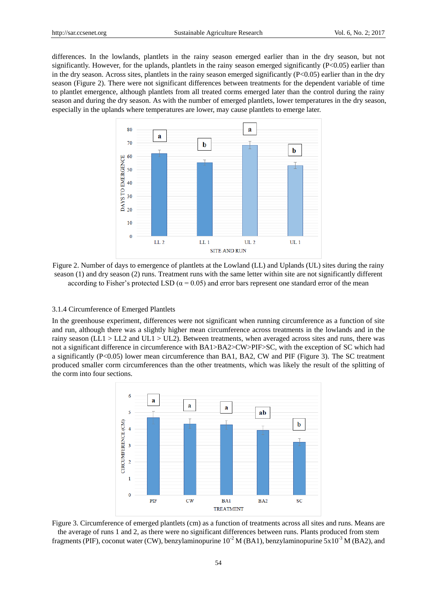differences. In the lowlands, plantlets in the rainy season emerged earlier than in the dry season, but not significantly. However, for the uplands, plantlets in the rainy season emerged significantly  $(P<0.05)$  earlier than in the dry season. Across sites, plantlets in the rainy season emerged significantly  $(P< 0.05)$  earlier than in the dry season (Figure 2). There were not significant differences between treatments for the dependent variable of time to plantlet emergence, although plantlets from all treated corms emerged later than the control during the rainy season and during the dry season. As with the number of emerged plantlets, lower temperatures in the dry season, especially in the uplands where temperatures are lower, may cause plantlets to emerge later.



Figure 2. Number of days to emergence of plantlets at the Lowland (LL) and Uplands (UL) sites during the rainy season (1) and dry season (2) runs. Treatment runs with the same letter within site are not significantly different according to Fisher's protected LSD ( $\alpha$  = 0.05) and error bars represent one standard error of the mean

#### 3.1.4 Circumference of Emerged Plantlets

In the greenhouse experiment, differences were not significant when running circumference as a function of site and run, although there was a slightly higher mean circumference across treatments in the lowlands and in the rainy season ( $LL1 > LL2$  and  $UL1 > UL2$ ). Between treatments, when averaged across sites and runs, there was not a significant difference in circumference with BA1>BA2>CW>PIF>SC, with the exception of SC which had a significantly (P<0.05) lower mean circumference than BA1, BA2, CW and PIF (Figure 3). The SC treatment produced smaller corm circumferences than the other treatments, which was likely the result of the splitting of the corm into four sections.



Figure 3. Circumference of emerged plantlets (cm) as a function of treatments across all sites and runs. Means are the average of runs 1 and 2, as there were no significant differences between runs. Plants produced from stem fragments (PIF), coconut water (CW), benzylaminopurine  $10^{-2}$  M (BA1), benzylaminopurine  $5x10^{-3}$  M (BA2), and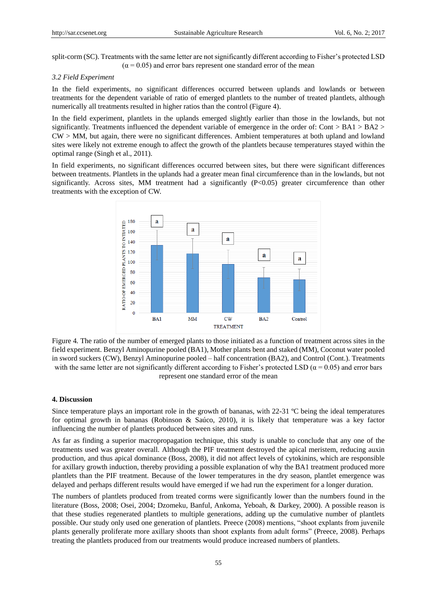split-corm (SC). Treatments with the same letter are not significantly different according to Fisher's protected LSD  $(\alpha = 0.05)$  and error bars represent one standard error of the mean

#### *3.2 Field Experiment*

In the field experiments, no significant differences occurred between uplands and lowlands or between treatments for the dependent variable of ratio of emerged plantlets to the number of treated plantlets, although numerically all treatments resulted in higher ratios than the control (Figure 4).

In the field experiment, plantlets in the uplands emerged slightly earlier than those in the lowlands, but not significantly. Treatments influenced the dependent variable of emergence in the order of: Cont > BA1 > BA2 > CW > MM, but again, there were no significant differences. Ambient temperatures at both upland and lowland sites were likely not extreme enough to affect the growth of the plantlets because temperatures stayed within the optimal range [\(Singh et al., 2011\)](#page-9-2).

In field experiments, no significant differences occurred between sites, but there were significant differences between treatments. Plantlets in the uplands had a greater mean final circumference than in the lowlands, but not significantly. Across sites, MM treatment had a significantly (P<0.05) greater circumference than other treatments with the exception of CW.



Figure 4*.* The ratio of the number of emerged plants to those initiated as a function of treatment across sites in the field experiment. Benzyl Aminopurine pooled (BA1), Mother plants bent and staked (MM), Coconut water pooled in sword suckers (CW), Benzyl Aminopurine pooled – half concentration (BA2), and Control (Cont.). Treatments with the same letter are not significantly different according to Fisher's protected LSD ( $\alpha$  = 0.05) and error bars represent one standard error of the mean

#### **4. Discussion**

Since temperature plays an important role in the growth of bananas, with  $22-31$  °C being the ideal temperatures for optimal growth in bananas [\(Robinson & Saúco, 2010\)](#page-9-0), it is likely that temperature was a key factor influencing the number of plantlets produced between sites and runs.

As far as finding a superior macropropagation technique, this study is unable to conclude that any one of the treatments used was greater overall. Although the PIF treatment destroyed the apical meristem, reducing auxin production, and thus apical dominance [\(Boss, 2008\)](#page-8-2), it did not affect levels of cytokinins, which are responsible for axillary growth induction, thereby providing a possible explanation of why the BA1 treatment produced more plantlets than the PIF treatment. Because of the lower temperatures in the dry season, plantlet emergence was delayed and perhaps different results would have emerged if we had run the experiment for a longer duration.

The numbers of plantlets produced from treated corms were significantly lower than the numbers found in the literature (Boss, 2008; Osei, 2004; Dzomeku, Banful, Ankoma, Yeboah, & Darkey, 2000). A possible reason is that these studies regenerated plantlets to multiple generations, adding up the cumulative number of plantlets possible. Our study only used one generation of plantlets. Preece (2008) mentions, "shoot explants from juvenile plants generally proliferate more axillary shoots than shoot explants from adult forms" [\(Preece, 2008\)](#page-9-12). Perhaps treating the plantlets produced from our treatments would produce increased numbers of plantlets.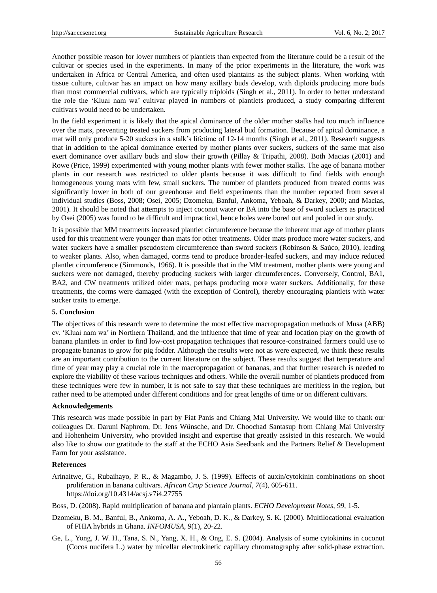Another possible reason for lower numbers of plantlets than expected from the literature could be a result of the cultivar or species used in the experiments. In many of the prior experiments in the literature, the work was undertaken in Africa or Central America, and often used plantains as the subject plants. When working with tissue culture, cultivar has an impact on how many axillary buds develop, with diploids producing more buds than most commercial cultivars, which are typically triploids [\(Singh et al., 2011\)](#page-9-2). In order to better understand the role the "Kluai nam wa" cultivar played in numbers of plantlets produced, a study comparing different cultivars would need to be undertaken.

In the field experiment it is likely that the apical dominance of the older mother stalks had too much influence over the mats, preventing treated suckers from producing lateral bud formation. Because of apical dominance, a mat will only produce 5-20 suckers in a stalk"s lifetime of 12-14 months [\(Singh et al., 2011\)](#page-9-2). Research suggests that in addition to the apical dominance exerted by mother plants over suckers, suckers of the same mat also exert dominance over axillary buds and slow their growth [\(Pillay & Tripathi, 2008\)](#page-9-13). Both Macias (2001) and Rowe (Price, 1999) experimented with young mother plants with fewer mother stalks. The age of banana mother plants in our research was restricted to older plants because it was difficult to find fields with enough homogeneous young mats with few, small suckers. The number of plantlets produced from treated corms was significantly lower in both of our greenhouse and field experiments than the number reported from several individual studies (Boss, 2008; Osei, 2005; Dzomeku, Banful, Ankoma, Yeboah, & Darkey, 2000; and Macias, 2001). It should be noted that attempts to inject coconut water or BA into the base of sword suckers as practiced by Osei (2005) was found to be difficult and impractical, hence holes were bored out and pooled in our study.

It is possible that MM treatments increased plantlet circumference because the inherent mat age of mother plants used for this treatment were younger than mats for other treatments. Older mats produce more water suckers, and water suckers have a smaller pseudostem circumference than sword suckers [\(Robinson & Saúco, 2010\)](#page-9-0), leading to weaker plants. Also, when damaged, corms tend to produce broader-leafed suckers, and may induce reduced plantlet circumference [\(Simmonds, 1966\)](#page-9-1). It is possible that in the MM treatment, mother plants were young and suckers were not damaged, thereby producing suckers with larger circumferences. Conversely, Control, BA1, BA2, and CW treatments utilized older mats, perhaps producing more water suckers. Additionally, for these treatments, the corms were damaged (with the exception of Control), thereby encouraging plantlets with water sucker traits to emerge.

#### **5. Conclusion**

The objectives of this research were to determine the most effective macropropagation methods of Musa (ABB) cv. "Kluai nam wa" in Northern Thailand, and the influence that time of year and location play on the growth of banana plantlets in order to find low-cost propagation techniques that resource-constrained farmers could use to propagate bananas to grow for pig fodder. Although the results were not as were expected, we think these results are an important contribution to the current literature on the subject. These results suggest that temperature and time of year may play a crucial role in the macropropagation of bananas, and that further research is needed to explore the viability of these various techniques and others. While the overall number of plantlets produced from these techniques were few in number, it is not safe to say that these techniques are meritless in the region, but rather need to be attempted under different conditions and for great lengths of time or on different cultivars.

# **Acknowledgements**

This research was made possible in part by Fiat Panis and Chiang Mai University. We would like to thank our colleagues Dr. Daruni Naphrom, Dr. Jens Wünsche, and Dr. Choochad Santasup from Chiang Mai University and Hohenheim University, who provided insight and expertise that greatly assisted in this research. We would also like to show our gratitude to the staff at the ECHO Asia Seedbank and the Partners Relief & Development Farm for your assistance.

# **References**

<span id="page-8-0"></span>Arinaitwe, G., Rubaihayo, P. R., & Magambo, J. S. (1999). Effects of auxin/cytokinin combinations on shoot proliferation in banana cultivars. *African Crop Science Journal, 7*(4), 605-611. https://doi.org/10.4314/acsj.v7i4.27755

<span id="page-8-2"></span>Boss, D. (2008). Rapid multiplication of banana and plantain plants. *ECHO Development Notes, 99*, 1-5.

- <span id="page-8-3"></span>Dzomeku, B. M., Banful, B., Ankoma, A. A., Yeboah, D. K., & Darkey, S. K. (2000). Multilocational evaluation of FHIA hybrids in Ghana. *INFOMUSA, 9*(1), 20-22.
- <span id="page-8-1"></span>Ge, L., Yong, J. W. H., Tana, S. N., Yang, X. H., & Ong, E. S. (2004). Analysis of some cytokinins in coconut (Cocos nucifera L.) water by micellar electrokinetic capillary chromatography after solid-phase extraction.